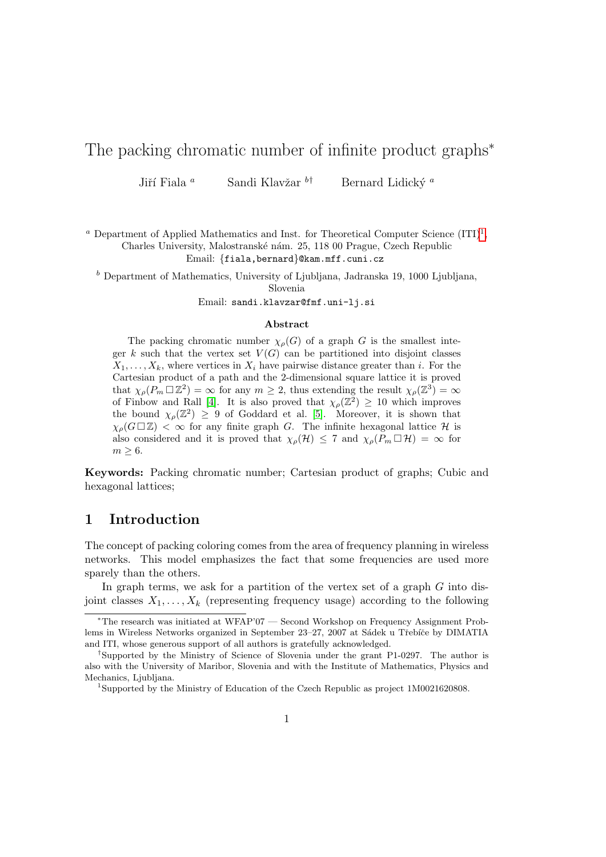# The packing chromatic number of infinite product graphs<sup>\*</sup>

Jiří Fiala <sup>a</sup> Sandi Klavžar <sup>b†</sup> Bernard Lidický <sup>a</sup>

<sup>*a*</sup> Department of Applied Mathematics and Inst. for Theoretical Computer Science  $(ITI)<sup>1</sup>$  $(ITI)<sup>1</sup>$  $(ITI)<sup>1</sup>$ , Charles University, Malostranské nám. 25, 118 00 Prague, Czech Republic Email: {fiala,bernard}@kam.mff.cuni.cz

 $<sup>b</sup>$  Department of Mathematics, University of Ljubljana, Jadranska 19, 1000 Ljubljana,</sup> Slovenia

Email: sandi.klavzar@fmf.uni-lj.si

#### Abstract

The packing chromatic number  $\chi_{\rho}(G)$  of a graph G is the smallest integer k such that the vertex set  $V(G)$  can be partitioned into disjoint classes  $X_1, \ldots, X_k$ , where vertices in  $X_i$  have pairwise distance greater than i. For the Cartesian product of a path and the 2-dimensional square lattice it is proved that  $\chi_{\rho}(P_m \Box \mathbb{Z}^2) = \infty$  for any  $m \geq 2$ , thus extending the result  $\chi_{\rho}(\mathbb{Z}^3) = \infty$ of Finbow and Rall [\[4\]](#page-17-0). It is also proved that  $\chi_{\rho}(\mathbb{Z}^2) \geq 10$  which improves the bound  $\chi_{\rho}(\mathbb{Z}^2) \geq 9$  of Goddard et al. [\[5\]](#page-17-1). Moreover, it is shown that  $\chi_{\rho}(G \square \mathbb{Z}) < \infty$  for any finite graph G. The infinite hexagonal lattice H is also considered and it is proved that  $\chi_{\rho}(\mathcal{H}) \leq 7$  and  $\chi_{\rho}(P_m \Box \mathcal{H}) = \infty$  for  $m \geq 6$ .

Keywords: Packing chromatic number; Cartesian product of graphs; Cubic and hexagonal lattices;

### 1 Introduction

The concept of packing coloring comes from the area of frequency planning in wireless networks. This model emphasizes the fact that some frequencies are used more sparely than the others.

In graph terms, we ask for a partition of the vertex set of a graph  $G$  into disjoint classes  $X_1, \ldots, X_k$  (representing frequency usage) according to the following

<sup>∗</sup>The research was initiated at WFAP'07 — Second Workshop on Frequency Assignment Problems in Wireless Networks organized in September 23–27, 2007 at Sádek u Třebíče by DIMATIA and ITI, whose generous support of all authors is gratefully acknowledged.

<sup>†</sup>Supported by the Ministry of Science of Slovenia under the grant P1-0297. The author is also with the University of Maribor, Slovenia and with the Institute of Mathematics, Physics and Mechanics, Ljubljana.

<span id="page-0-0"></span><sup>1</sup>Supported by the Ministry of Education of the Czech Republic as project 1M0021620808.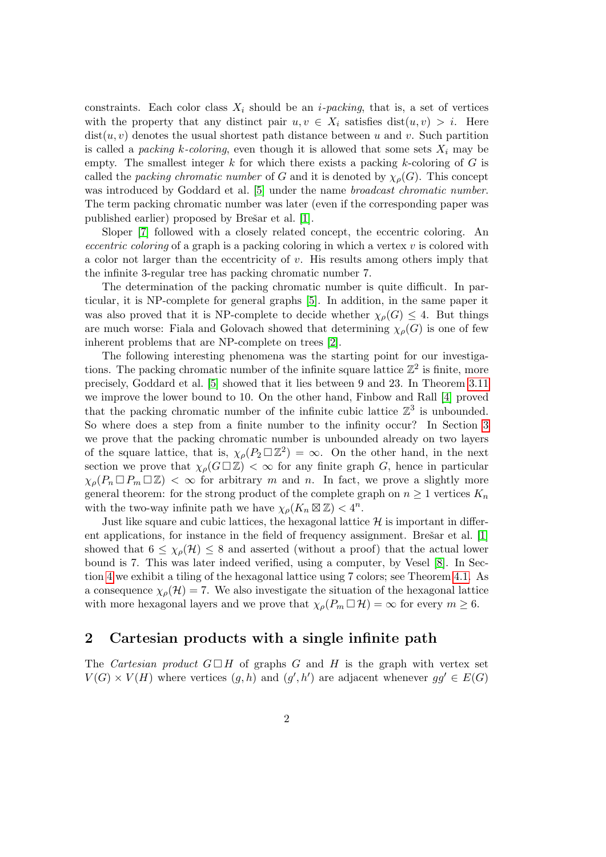constraints. Each color class  $X_i$  should be an *i-packing*, that is, a set of vertices with the property that any distinct pair  $u, v \in X_i$  satisfies  $dist(u, v) > i$ . Here  $dist(u, v)$  denotes the usual shortest path distance between u and v. Such partition is called a *packing k-coloring*, even though it is allowed that some sets  $X_i$  may be empty. The smallest integer  $k$  for which there exists a packing  $k$ -coloring of  $G$  is called the *packing chromatic number* of G and it is denoted by  $\chi_{\rho}(G)$ . This concept was introduced by Goddard et al. [\[5\]](#page-17-1) under the name *broadcast chromatic number*. The term packing chromatic number was later (even if the corresponding paper was published earlier) proposed by Brešar et al. [\[1\]](#page-17-2).

Sloper [\[7\]](#page-17-3) followed with a closely related concept, the eccentric coloring. An *eccentric coloring* of a graph is a packing coloring in which a vertex  $v$  is colored with a color not larger than the eccentricity of  $v$ . His results among others imply that the infinite 3-regular tree has packing chromatic number 7.

The determination of the packing chromatic number is quite difficult. In particular, it is NP-complete for general graphs [\[5\]](#page-17-1). In addition, in the same paper it was also proved that it is NP-complete to decide whether  $\chi_{\rho}(G) \leq 4$ . But things are much worse: Fiala and Golovach showed that determining  $\chi_o(G)$  is one of few inherent problems that are NP-complete on trees [\[2\]](#page-17-4).

The following interesting phenomena was the starting point for our investigations. The packing chromatic number of the infinite square lattice  $\mathbb{Z}^2$  is finite, more precisely, Goddard et al. [\[5\]](#page-17-1) showed that it lies between 9 and 23. In Theorem [3.11](#page-10-0) we improve the lower bound to 10. On the other hand, Finbow and Rall [\[4\]](#page-17-0) proved that the packing chromatic number of the infinite cubic lattice  $\mathbb{Z}^3$  is unbounded. So where does a step from a finite number to the infinity occur? In Section [3](#page-3-0) we prove that the packing chromatic number is unbounded already on two layers of the square lattice, that is,  $\chi_{\rho}(P_2 \Box \mathbb{Z}^2) = \infty$ . On the other hand, in the next section we prove that  $\chi_{\rho}(G \square \mathbb{Z}) < \infty$  for any finite graph G, hence in particular  $\chi_{\rho}(P_n \Box P_m \Box \mathbb{Z}) < \infty$  for arbitrary m and n. In fact, we prove a slightly more general theorem: for the strong product of the complete graph on  $n \geq 1$  vertices  $K_n$ with the two-way infinite path we have  $\chi_{\rho}(K_n \boxtimes \mathbb{Z}) < 4^n$ .

Just like square and cubic lattices, the hexagonal lattice  $\mathcal H$  is important in different applications, for instance in the field of frequency assignment. Bres $ar$  et al.  $[1]$ showed that  $6 \leq \chi_{\rho}(\mathcal{H}) \leq 8$  and asserted (without a proof) that the actual lower bound is 7. This was later indeed verified, using a computer, by Vesel [\[8\]](#page-17-5). In Section [4](#page-11-0) we exhibit a tiling of the hexagonal lattice using 7 colors; see Theorem [4.1.](#page-11-1) As a consequence  $\chi_{\rho}(\mathcal{H}) = 7$ . We also investigate the situation of the hexagonal lattice with more hexagonal layers and we prove that  $\chi_{\rho}(P_m \Box \mathcal{H}) = \infty$  for every  $m \geq 6$ .

#### 2 Cartesian products with a single infinite path

The Cartesian product  $G \square H$  of graphs G and H is the graph with vertex set  $V(G) \times V(H)$  where vertices  $(g, h)$  and  $(g', h')$  are adjacent whenever  $gg' \in E(G)$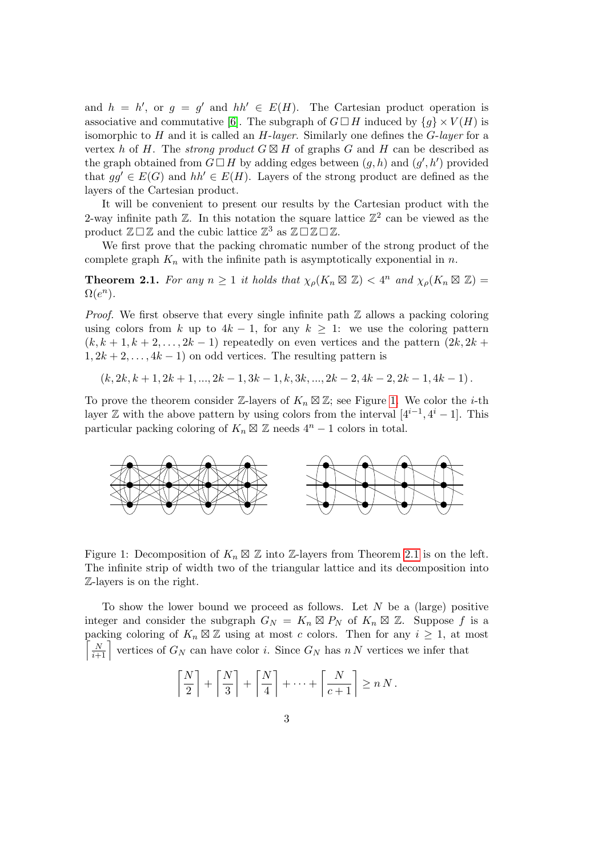and  $h = h'$ , or  $g = g'$  and  $hh' \in E(H)$ . The Cartesian product operation is associative and commutative [\[6\]](#page-17-6). The subgraph of  $G \square H$  induced by  $\{q\} \times V(H)$  is isomorphic to  $H$  and it is called an  $H$ -layer. Similarly one defines the  $G$ -layer for a vertex h of H. The *strong product*  $G \boxtimes H$  of graphs G and H can be described as the graph obtained from  $G \square H$  by adding edges between  $(g, h)$  and  $(g', h')$  provided that  $qq' \in E(G)$  and  $hh' \in E(H)$ . Layers of the strong product are defined as the layers of the Cartesian product.

It will be convenient to present our results by the Cartesian product with the 2-way infinite path  $\mathbb{Z}$ . In this notation the square lattice  $\mathbb{Z}^2$  can be viewed as the product  $\mathbb{Z} \square \mathbb{Z}$  and the cubic lattice  $\mathbb{Z}^3$  as  $\mathbb{Z} \square \mathbb{Z} \square \mathbb{Z}$ .

We first prove that the packing chromatic number of the strong product of the complete graph  $K_n$  with the infinite path is asymptotically exponential in n.

<span id="page-2-1"></span>**Theorem 2.1.** For any  $n \geq 1$  it holds that  $\chi_{\rho}(K_n \boxtimes \mathbb{Z}) < 4^n$  and  $\chi_{\rho}(K_n \boxtimes \mathbb{Z}) =$  $\Omega(e^n)$ .

*Proof.* We first observe that every single infinite path  $\mathbb Z$  allows a packing coloring using colors from k up to  $4k - 1$ , for any  $k > 1$ : we use the coloring pattern  $(k, k+1, k+2, \ldots, 2k-1)$  repeatedly on even vertices and the pattern  $(2k, 2k+1)$  $1, 2k + 2, \ldots, 4k - 1$  on odd vertices. The resulting pattern is

 $(k, 2k, k+1, 2k+1, ..., 2k-1, 3k-1, k, 3k, ..., 2k-2, 4k-2, 2k-1, 4k-1).$ 

To prove the theorem consider Z-layers of  $K_n \boxtimes \mathbb{Z}$ ; see Figure [1.](#page-2-0) We color the *i*-th layer  $\mathbb Z$  with the above pattern by using colors from the interval  $[4^{i-1}, 4^i - 1]$ . This particular packing coloring of  $K_n \boxtimes \mathbb{Z}$  needs  $4^n - 1$  colors in total.



<span id="page-2-0"></span>Figure 1: Decomposition of  $K_n \boxtimes \mathbb{Z}$  into  $\mathbb{Z}$ -layers from Theorem [2.1](#page-2-1) is on the left. The infinite strip of width two of the triangular lattice and its decomposition into Z-layers is on the right.

To show the lower bound we proceed as follows. Let  $N$  be a (large) positive integer and consider the subgraph  $G_N = K_n \boxtimes P_N$  of  $K_n \boxtimes \mathbb{Z}$ . Suppose f is a packing coloring of  $K_n \boxtimes \mathbb{Z}$  using at most c colors. Then for any  $i \geq 1$ , at most  $\left\lceil \frac{N}{i+1} \right\rceil$  vertices of  $G_N$  can have color i. Since  $G_N$  has n N vertices we infer that

$$
\left\lceil \frac{N}{2} \right\rceil + \left\lceil \frac{N}{3} \right\rceil + \left\lceil \frac{N}{4} \right\rceil + \dots + \left\lceil \frac{N}{c+1} \right\rceil \ge n N.
$$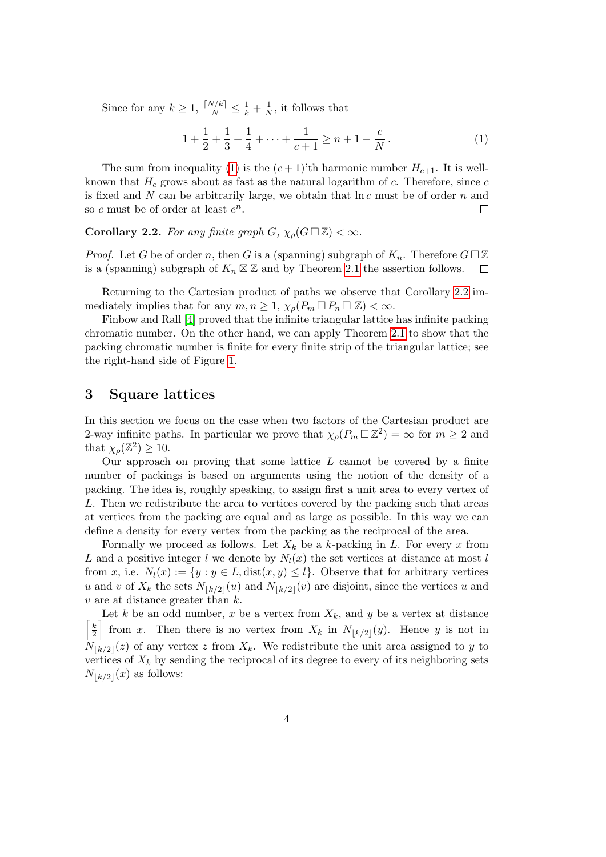Since for any  $k \geq 1$ ,  $\frac{\lceil N/k \rceil}{N} \leq \frac{1}{k} + \frac{1}{N}$  $\frac{1}{N}$ , it follows that

<span id="page-3-1"></span>
$$
1 + \frac{1}{2} + \frac{1}{3} + \frac{1}{4} + \dots + \frac{1}{c+1} \ge n + 1 - \frac{c}{N}.
$$
 (1)

The sum from inequality [\(1\)](#page-3-1) is the  $(c+1)$ 'th harmonic number  $H_{c+1}$ . It is wellknown that  $H_c$  grows about as fast as the natural logarithm of c. Therefore, since c is fixed and  $N$  can be arbitrarily large, we obtain that  $\ln c$  must be of order  $n$  and so c must be of order at least  $e^n$ .  $\Box$ 

<span id="page-3-2"></span>**Corollary 2.2.** For any finite graph  $G$ ,  $\chi_{\rho}(G \Box \mathbb{Z}) < \infty$ .

*Proof.* Let G be of order n, then G is a (spanning) subgraph of  $K_n$ . Therefore  $G \square \mathbb{Z}$ is a (spanning) subgraph of  $K_n \boxtimes \mathbb{Z}$  and by Theorem [2.1](#page-2-1) the assertion follows.  $\Box$ 

Returning to the Cartesian product of paths we observe that Corollary [2.2](#page-3-2) immediately implies that for any  $m, n \geq 1$ ,  $\chi_{\rho}(P_m \Box P_n \Box \mathbb{Z}) < \infty$ .

Finbow and Rall [\[4\]](#page-17-0) proved that the infinite triangular lattice has infinite packing chromatic number. On the other hand, we can apply Theorem [2.1](#page-2-1) to show that the packing chromatic number is finite for every finite strip of the triangular lattice; see the right-hand side of Figure [1.](#page-2-0)

#### <span id="page-3-0"></span>3 Square lattices

In this section we focus on the case when two factors of the Cartesian product are 2-way infinite paths. In particular we prove that  $\chi_{\rho}(P_m \Box \mathbb{Z}^2) = \infty$  for  $m \geq 2$  and that  $\chi_{\rho}(\mathbb{Z}^2) \geq 10$ .

Our approach on proving that some lattice  $L$  cannot be covered by a finite number of packings is based on arguments using the notion of the density of a packing. The idea is, roughly speaking, to assign first a unit area to every vertex of L. Then we redistribute the area to vertices covered by the packing such that areas at vertices from the packing are equal and as large as possible. In this way we can define a density for every vertex from the packing as the reciprocal of the area.

Formally we proceed as follows. Let  $X_k$  be a k-packing in L. For every x from L and a positive integer l we denote by  $N_l(x)$  the set vertices at distance at most l from x, i.e.  $N_l(x) := \{y : y \in L, \text{dist}(x, y) \leq l\}$ . Observe that for arbitrary vertices u and v of  $X_k$  the sets  $N_{\lfloor k/2\rfloor}(u)$  and  $N_{\lfloor k/2\rfloor}(v)$  are disjoint, since the vertices u and  $v$  are at distance greater than  $k$ .

Let k be an odd number, x be a vertex from  $X_k$ , and y be a vertex at distance  $\lceil k \rceil$  $\frac{k}{2}$  from x. Then there is no vertex from  $X_k$  in  $N_{\lfloor k/2\rfloor}(y)$ . Hence y is not in  $N_{\lfloor k/2\rfloor}(z)$  of any vertex z from  $X_k$ . We redistribute the unit area assigned to y to vertices of  $X_k$  by sending the reciprocal of its degree to every of its neighboring sets  $N_{\lfloor k/2\rfloor}(x)$  as follows: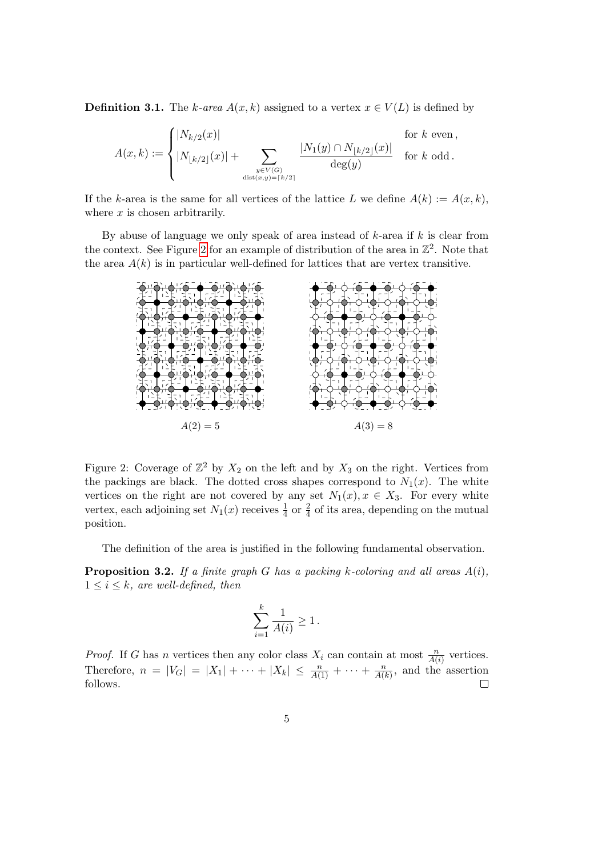**Definition 3.1.** The k-area  $A(x, k)$  assigned to a vertex  $x \in V(L)$  is defined by

$$
A(x,k) := \begin{cases} |N_{k/2}(x)| & \text{for } k \text{ even,} \\ |N_{\lfloor k/2 \rfloor}(x)| + \sum_{\substack{y \in V(G) \\ \text{dist}(x,y) = \lceil k/2 \rceil}} \frac{|N_1(y) \cap N_{\lfloor k/2 \rfloor}(x)|}{\deg(y)} & \text{for } k \text{ odd.} \end{cases}
$$

If the k-area is the same for all vertices of the lattice L we define  $A(k) := A(x, k)$ , where  $x$  is chosen arbitrarily.

By abuse of language we only speak of area instead of  $k$ -area if  $k$  is clear from the context. See Figure [2](#page-4-0) for an example of distribution of the area in  $\mathbb{Z}^2$ . Note that the area  $A(k)$  is in particular well-defined for lattices that are vertex transitive.



<span id="page-4-0"></span>Figure 2: Coverage of  $\mathbb{Z}^2$  by  $X_2$  on the left and by  $X_3$  on the right. Vertices from the packings are black. The dotted cross shapes correspond to  $N_1(x)$ . The white vertices on the right are not covered by any set  $N_1(x), x \in X_3$ . For every white vertex, each adjoining set  $N_1(x)$  receives  $\frac{1}{4}$  or  $\frac{2}{4}$  of its area, depending on the mutual position.

The definition of the area is justified in the following fundamental observation.

<span id="page-4-1"></span>**Proposition 3.2.** If a finite graph G has a packing k-coloring and all areas  $A(i)$ ,  $1 \leq i \leq k$ , are well-defined, then

$$
\sum_{i=1}^k \frac{1}{A(i)} \ge 1.
$$

*Proof.* If G has n vertices then any color class  $X_i$  can contain at most  $\frac{n}{A(i)}$  vertices. Therefore,  $n = |V_G| = |X_1| + \cdots + |X_k| \leq \frac{n}{A(1)} + \cdots + \frac{n}{A(n)}$  $\frac{n}{A(k)}$ , and the assertion follows.  $\Box$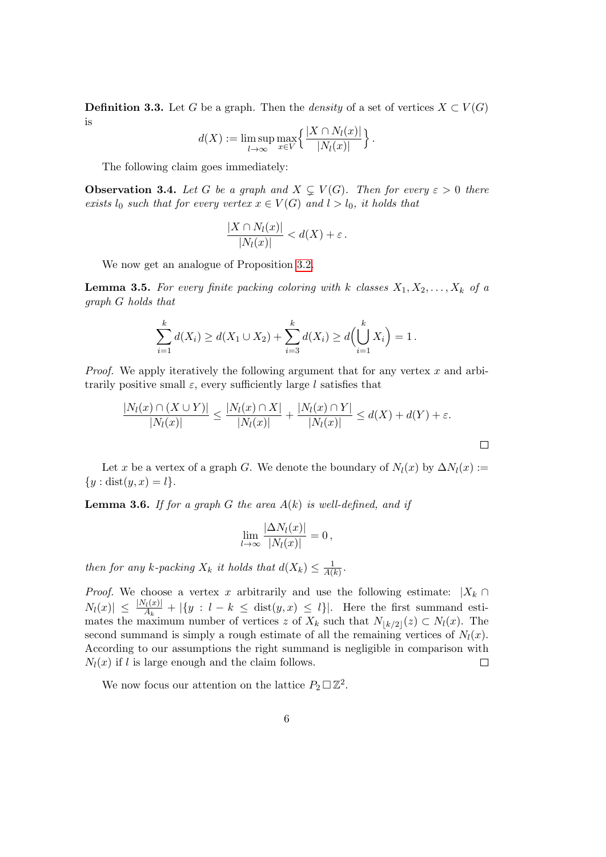<span id="page-5-2"></span>**Definition 3.3.** Let G be a graph. Then the *density* of a set of vertices  $X \subset V(G)$ is

$$
d(X) := \limsup_{l \to \infty} \max_{x \in V} \left\{ \frac{|X \cap N_l(x)|}{|N_l(x)|} \right\}.
$$

The following claim goes immediately:

**Observation 3.4.** Let G be a graph and  $X \subsetneq V(G)$ . Then for every  $\varepsilon > 0$  there exists  $l_0$  such that for every vertex  $x \in V(G)$  and  $l > l_0$ , it holds that

$$
\frac{|X \cap N_l(x)|}{|N_l(x)|} < d(X) + \varepsilon \, .
$$

We now get an analogue of Proposition [3.2.](#page-4-1)

<span id="page-5-0"></span>**Lemma 3.5.** For every finite packing coloring with k classes  $X_1, X_2, \ldots, X_k$  of a graph G holds that

$$
\sum_{i=1}^k d(X_i) \ge d(X_1 \cup X_2) + \sum_{i=3}^k d(X_i) \ge d\Big(\bigcup_{i=1}^k X_i\Big) = 1.
$$

*Proof.* We apply iteratively the following argument that for any vertex  $x$  and arbitrarily positive small  $\varepsilon$ , every sufficiently large l satisfies that

$$
\frac{|N_l(x) \cap (X \cup Y)|}{|N_l(x)|} \le \frac{|N_l(x) \cap X|}{|N_l(x)|} + \frac{|N_l(x) \cap Y|}{|N_l(x)|} \le d(X) + d(Y) + \varepsilon.
$$

Let x be a vertex of a graph G. We denote the boundary of  $N_l(x)$  by  $\Delta N_l(x) :=$  ${y : dist(y, x) = l}.$ 

<span id="page-5-1"></span>**Lemma 3.6.** If for a graph G the area  $A(k)$  is well-defined, and if

$$
\lim_{l\to\infty}\frac{|\Delta N_l(x)|}{|N_l(x)|}=0\,,
$$

then for any k-packing  $X_k$  it holds that  $d(X_k) \leq \frac{1}{A(k)}$  $\frac{1}{A(k)}$ .

*Proof.* We choose a vertex x arbitrarily and use the following estimate:  $|X_k \cap$  $|N_l(x)| \leq \frac{|N_l(x)|}{A_k} + |\{y : l - k \leq \text{dist}(y, x) \leq l\}|.$  Here the first summand estimates the maximum number of vertices z of  $X_k$  such that  $N_{\lfloor k/2\rfloor}(z) \subset N_l(x)$ . The second summand is simply a rough estimate of all the remaining vertices of  $N_l(x)$ . According to our assumptions the right summand is negligible in comparison with  $N_l(x)$  if l is large enough and the claim follows.  $\Box$ 

We now focus our attention on the lattice  $P_2 \square \mathbb{Z}^2$ .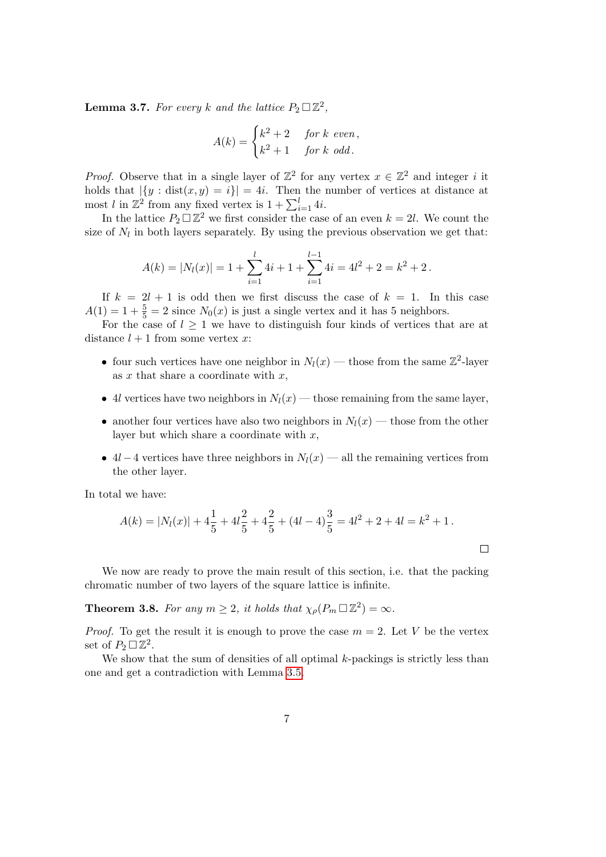<span id="page-6-0"></span>**Lemma 3.7.** For every k and the lattice  $P_2 \square \mathbb{Z}^2$ ,

$$
A(k) = \begin{cases} k^2 + 2 & \text{for } k \text{ even,} \\ k^2 + 1 & \text{for } k \text{ odd.} \end{cases}
$$

*Proof.* Observe that in a single layer of  $\mathbb{Z}^2$  for any vertex  $x \in \mathbb{Z}^2$  and integer i it holds that  $|\{y : dist(x, y) = i\}| = 4i$ . Then the number of vertices at distance at most l in  $\mathbb{Z}^2$  from any fixed vertex is  $1 + \sum_{i=1}^{l} 4i$ .

In the lattice  $P_2 \square \mathbb{Z}^2$  we first consider the case of an even  $k = 2l$ . We count the size of  $N_l$  in both layers separately. By using the previous observation we get that:

$$
A(k) = |N_l(x)| = 1 + \sum_{i=1}^l 4i + 1 + \sum_{i=1}^{l-1} 4i = 4l^2 + 2 = k^2 + 2.
$$

If  $k = 2l + 1$  is odd then we first discuss the case of  $k = 1$ . In this case  $A(1) = 1 + \frac{5}{5} = 2$  since  $N_0(x)$  is just a single vertex and it has 5 neighbors.

For the case of  $l \geq 1$  we have to distinguish four kinds of vertices that are at distance  $l + 1$  from some vertex x:

- four such vertices have one neighbor in  $N_l(x)$  those from the same  $\mathbb{Z}^2$ -layer as  $x$  that share a coordinate with  $x$ ,
- 4l vertices have two neighbors in  $N_l(x)$  those remaining from the same layer,
- another four vertices have also two neighbors in  $N_l(x)$  those from the other layer but which share a coordinate with  $x$ ,
- 4l −4 vertices have three neighbors in  $N_l(x)$  all the remaining vertices from the other layer.

In total we have:

$$
A(k) = |N_l(x)| + 4\frac{1}{5} + 4l\frac{2}{5} + 4\frac{2}{5} + (4l - 4)\frac{3}{5} = 4l^2 + 2 + 4l = k^2 + 1.
$$

We now are ready to prove the main result of this section, i.e. that the packing chromatic number of two layers of the square lattice is infinite.

<span id="page-6-1"></span>**Theorem 3.8.** For any  $m \ge 2$ , it holds that  $\chi_{\rho}(P_m \Box \mathbb{Z}^2) = \infty$ .

*Proof.* To get the result it is enough to prove the case  $m = 2$ . Let V be the vertex set of  $P_2 \square \mathbb{Z}^2$ .

We show that the sum of densities of all optimal k-packings is strictly less than one and get a contradiction with Lemma [3.5.](#page-5-0)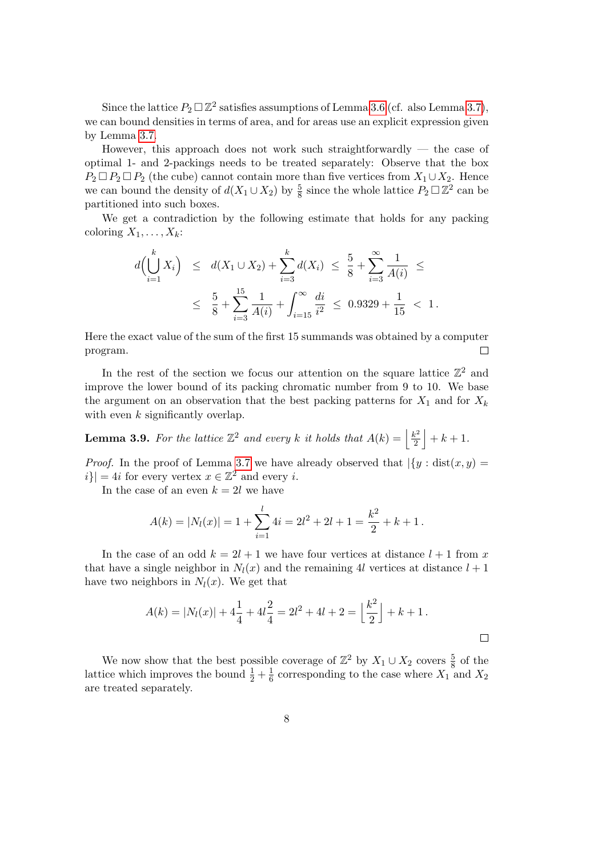Since the lattice  $P_2 \square \mathbb{Z}^2$  satisfies assumptions of Lemma [3.6](#page-5-1) (cf. also Lemma [3.7\)](#page-6-0), we can bound densities in terms of area, and for areas use an explicit expression given by Lemma [3.7.](#page-6-0)

However, this approach does not work such straightforwardly — the case of optimal 1- and 2-packings needs to be treated separately: Observe that the box  $P_2 \Box P_2 \Box P_2$  (the cube) cannot contain more than five vertices from  $X_1 \cup X_2$ . Hence we can bound the density of  $d(X_1 \cup X_2)$  by  $\frac{5}{8}$  since the whole lattice  $P_2 \square \mathbb{Z}^2$  can be partitioned into such boxes.

We get a contradiction by the following estimate that holds for any packing coloring  $X_1, \ldots, X_k$ :

$$
d\left(\bigcup_{i=1}^{k} X_{i}\right) \leq d(X_{1} \cup X_{2}) + \sum_{i=3}^{k} d(X_{i}) \leq \frac{5}{8} + \sum_{i=3}^{\infty} \frac{1}{A(i)} \leq
$$
  
 
$$
\leq \frac{5}{8} + \sum_{i=3}^{15} \frac{1}{A(i)} + \int_{i=15}^{\infty} \frac{di}{i^{2}} \leq 0.9329 + \frac{1}{15} < 1.
$$

Here the exact value of the sum of the first 15 summands was obtained by a computer program.  $\Box$ 

In the rest of the section we focus our attention on the square lattice  $\mathbb{Z}^2$  and improve the lower bound of its packing chromatic number from 9 to 10. We base the argument on an observation that the best packing patterns for  $X_1$  and for  $X_k$ with even  $k$  significantly overlap.

<span id="page-7-0"></span>**Lemma 3.9.** For the lattice  $\mathbb{Z}^2$  and every k it holds that  $A(k) = \frac{k^2}{2}$  $\frac{k^2}{2}$  + k + 1.

*Proof.* In the proof of Lemma [3.7](#page-6-0) we have already observed that  $\left|\left\{y : dist(x, y) = \right\}\right|$  $|i\rangle| = 4i$  for every vertex  $x \in \mathbb{Z}^2$  and every i.

In the case of an even  $k = 2l$  we have

$$
A(k) = |N_l(x)| = 1 + \sum_{i=1}^l 4i = 2l^2 + 2l + 1 = \frac{k^2}{2} + k + 1.
$$

In the case of an odd  $k = 2l + 1$  we have four vertices at distance  $l + 1$  from x that have a single neighbor in  $N_l(x)$  and the remaining 4l vertices at distance  $l + 1$ have two neighbors in  $N_l(x)$ . We get that

$$
A(k) = |N_l(x)| + 4\frac{1}{4} + 4l\frac{2}{4} = 2l^2 + 4l + 2 = \left\lfloor \frac{k^2}{2} \right\rfloor + k + 1.
$$

We now show that the best possible coverage of  $\mathbb{Z}^2$  by  $X_1 \cup X_2$  covers  $\frac{5}{8}$  of the lattice which improves the bound  $\frac{1}{2} + \frac{1}{6}$  $\frac{1}{6}$  corresponding to the case where  $X_1$  and  $X_2$ are treated separately.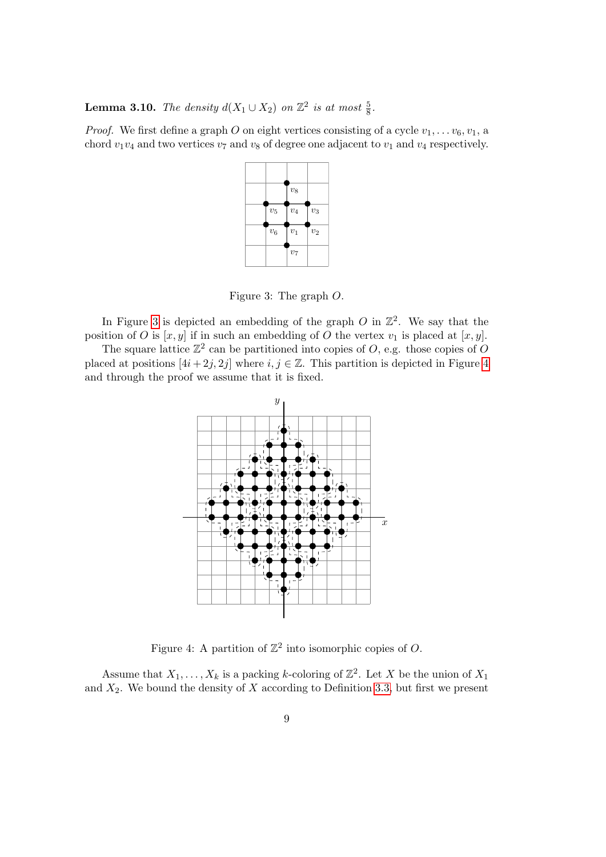<span id="page-8-2"></span>**Lemma 3.10.** The density  $d(X_1 \cup X_2)$  on  $\mathbb{Z}^2$  is at most  $\frac{5}{8}$ .

*Proof.* We first define a graph O on eight vertices consisting of a cycle  $v_1, \ldots v_6, v_1, v_2$ chord  $v_1v_4$  and two vertices  $v_7$  and  $v_8$  of degree one adjacent to  $v_1$  and  $v_4$  respectively.

|                    | $\boldsymbol{v_8}$   |              |
|--------------------|----------------------|--------------|
| $\boldsymbol{v}_5$ | $\boldsymbol{v}_4$   | $\upsilon_3$ |
| $\boldsymbol{v}_6$ | $\boldsymbol{v}_1$   | $\upsilon_2$ |
|                    | $\boldsymbol{v}_{7}$ |              |

<span id="page-8-0"></span>Figure 3: The graph O.

In Figure [3](#page-8-0) is depicted an embedding of the graph O in  $\mathbb{Z}^2$ . We say that the position of O is  $[x, y]$  if in such an embedding of O the vertex  $v_1$  is placed at  $[x, y]$ .

The square lattice  $\mathbb{Z}^2$  can be partitioned into copies of O, e.g. those copies of O placed at positions  $[4i + 2j, 2j]$  where  $i, j \in \mathbb{Z}$ . This partition is depicted in Figure [4](#page-8-1) and through the proof we assume that it is fixed.



<span id="page-8-1"></span>Figure 4: A partition of  $\mathbb{Z}^2$  into isomorphic copies of O.

Assume that  $X_1, \ldots, X_k$  is a packing k-coloring of  $\mathbb{Z}^2$ . Let X be the union of  $X_1$ and  $X_2$ . We bound the density of X according to Definition [3.3,](#page-5-2) but first we present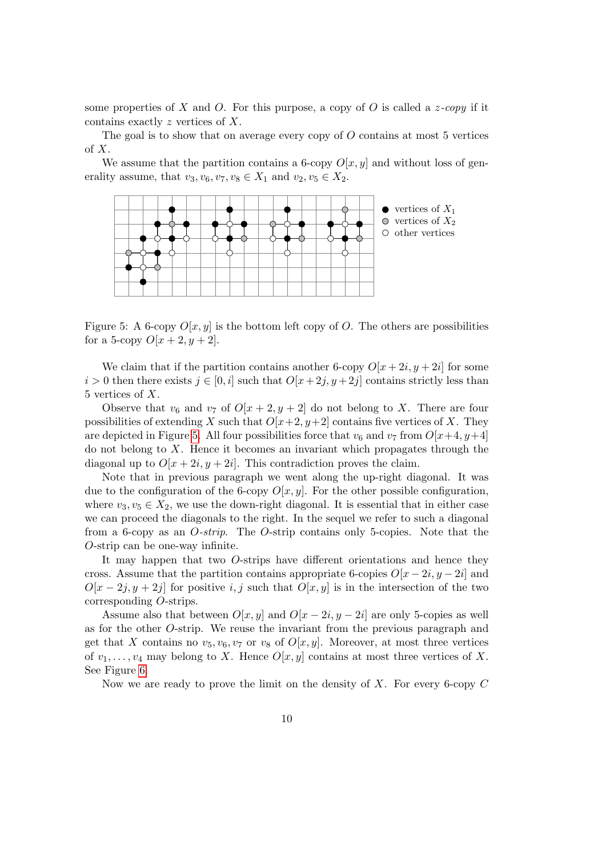some properties of X and O. For this purpose, a copy of O is called a  $z$ -copy if it contains exactly z vertices of X.

The goal is to show that on average every copy of  $O$  contains at most 5 vertices of X.

We assume that the partition contains a 6-copy  $O[x, y]$  and without loss of generality assume, that  $v_3, v_6, v_7, v_8 \in X_1$  and  $v_2, v_5 \in X_2$ .



<span id="page-9-0"></span>Figure 5: A 6-copy  $O[x, y]$  is the bottom left copy of O. The others are possibilities for a 5-copy  $O[x + 2, y + 2]$ .

We claim that if the partition contains another 6-copy  $O[x + 2i, y + 2i]$  for some  $i > 0$  then there exists  $j \in [0, i]$  such that  $O[x + 2j, y + 2j]$  contains strictly less than 5 vertices of X.

Observe that  $v_6$  and  $v_7$  of  $O[x + 2, y + 2]$  do not belong to X. There are four possibilities of extending X such that  $O[x+2, y+2]$  contains five vertices of X. They are depicted in Figure [5.](#page-9-0) All four possibilities force that  $v_6$  and  $v_7$  from  $O[x+4, y+4]$ do not belong to  $X$ . Hence it becomes an invariant which propagates through the diagonal up to  $O[x + 2i, y + 2i]$ . This contradiction proves the claim.

Note that in previous paragraph we went along the up-right diagonal. It was due to the configuration of the 6-copy  $O[x, y]$ . For the other possible configuration, where  $v_3, v_5 \in X_2$ , we use the down-right diagonal. It is essential that in either case we can proceed the diagonals to the right. In the sequel we refer to such a diagonal from a 6-copy as an  $O\text{-}strip$ . The  $O\text{-}strip$  contains only 5-copies. Note that the O-strip can be one-way infinite.

It may happen that two O-strips have different orientations and hence they cross. Assume that the partition contains appropriate 6-copies  $O[x-2i, y-2i]$  and  $O[x-2j, y+2j]$  for positive i, j such that  $O[x, y]$  is in the intersection of the two corresponding O-strips.

Assume also that between  $O[x, y]$  and  $O[x - 2i, y - 2i]$  are only 5-copies as well as for the other O-strip. We reuse the invariant from the previous paragraph and get that X contains no  $v_5, v_6, v_7$  or  $v_8$  of  $O[x, y]$ . Moreover, at most three vertices of  $v_1, \ldots, v_4$  may belong to X. Hence  $O[x, y]$  contains at most three vertices of X. See Figure [6.](#page-10-1)

Now we are ready to prove the limit on the density of  $X$ . For every 6-copy  $C$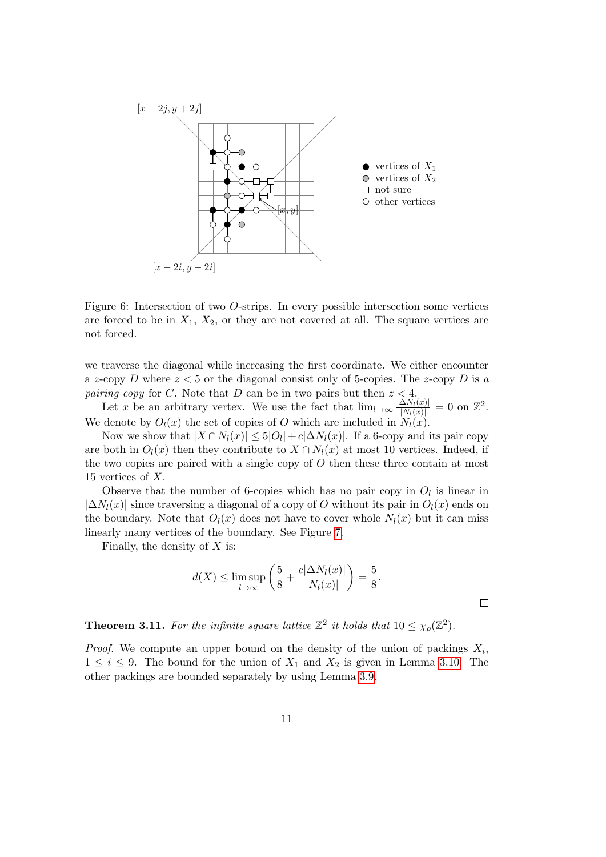

<span id="page-10-1"></span>Figure 6: Intersection of two O-strips. In every possible intersection some vertices are forced to be in  $X_1, X_2$ , or they are not covered at all. The square vertices are not forced.

we traverse the diagonal while increasing the first coordinate. We either encounter a z-copy D where  $z < 5$  or the diagonal consist only of 5-copies. The z-copy D is a *pairing copy* for C. Note that D can be in two pairs but then  $z < 4$ .

Let x be an arbitrary vertex. We use the fact that  $\lim_{l\to\infty} \frac{|\Delta N_l(x)|}{|N_l(x)|} = 0$  on  $\mathbb{Z}^2$ . We denote by  $O_l(x)$  the set of copies of O which are included in  $N_l(x)$ .

Now we show that  $|X \cap N_l(x)| \leq 5|O_l| + c|\Delta N_l(x)|$ . If a 6-copy and its pair copy are both in  $O_l(x)$  then they contribute to  $X \cap N_l(x)$  at most 10 vertices. Indeed, if the two copies are paired with a single copy of  $O$  then these three contain at most 15 vertices of  $X$ .

Observe that the number of 6-copies which has no pair copy in  $O_l$  is linear in  $|\Delta N_l(x)|$  since traversing a diagonal of a copy of O without its pair in  $O_l(x)$  ends on the boundary. Note that  $O_l(x)$  does not have to cover whole  $N_l(x)$  but it can miss linearly many vertices of the boundary. See Figure [7.](#page-11-2)

Finally, the density of  $X$  is:

$$
d(X) \le \limsup_{l \to \infty} \left( \frac{5}{8} + \frac{c|\Delta N_l(x)|}{|N_l(x)|} \right) = \frac{5}{8}.
$$

 $\Box$ 

<span id="page-10-0"></span>**Theorem 3.11.** For the infinite square lattice  $\mathbb{Z}^2$  it holds that  $10 \leq \chi_{\rho}(\mathbb{Z}^2)$ .

*Proof.* We compute an upper bound on the density of the union of packings  $X_i$ ,  $1 \leq i \leq 9$ . The bound for the union of  $X_1$  and  $X_2$  is given in Lemma [3.10.](#page-8-2) The other packings are bounded separately by using Lemma [3.9.](#page-7-0)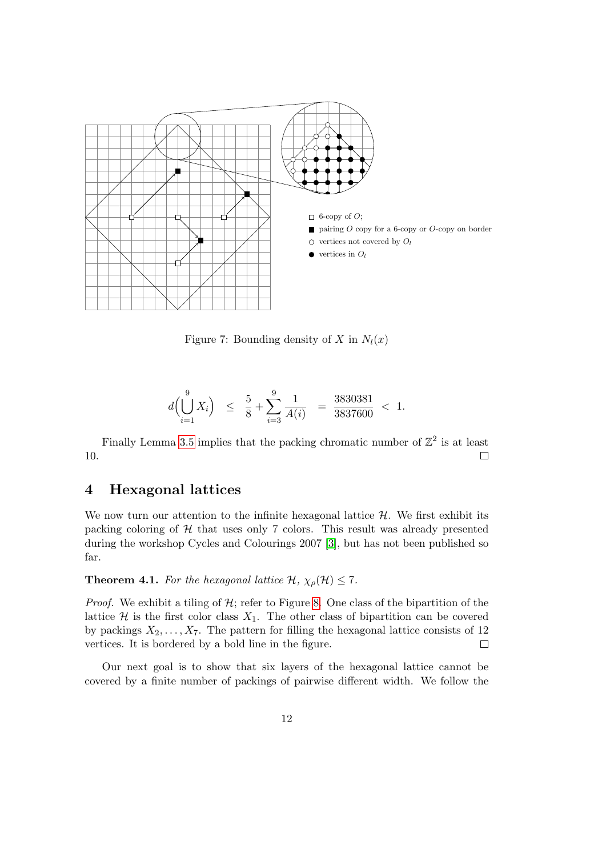

<span id="page-11-2"></span>Figure 7: Bounding density of X in  $N_l(x)$ 

$$
d\left(\bigcup_{i=1}^{9} X_i\right) \leq \frac{5}{8} + \sum_{i=3}^{9} \frac{1}{A(i)} = \frac{3830381}{3837600} < 1.
$$

Finally Lemma [3.5](#page-5-0) implies that the packing chromatic number of  $\mathbb{Z}^2$  is at least 10.  $\Box$ 

### <span id="page-11-0"></span>4 Hexagonal lattices

We now turn our attention to the infinite hexagonal lattice  $H$ . We first exhibit its packing coloring of  $H$  that uses only 7 colors. This result was already presented during the workshop Cycles and Colourings 2007 [\[3\]](#page-17-7), but has not been published so far.

#### <span id="page-11-1"></span>**Theorem 4.1.** For the hexagonal lattice  $\mathcal{H}, \chi_{\rho}(\mathcal{H}) \leq 7$ .

*Proof.* We exhibit a tiling of  $H$ ; refer to Figure [8.](#page-12-0) One class of the bipartition of the lattice  $\mathcal H$  is the first color class  $X_1$ . The other class of bipartition can be covered by packings  $X_2, \ldots, X_7$ . The pattern for filling the hexagonal lattice consists of 12 vertices. It is bordered by a bold line in the figure.  $\Box$ 

Our next goal is to show that six layers of the hexagonal lattice cannot be covered by a finite number of packings of pairwise different width. We follow the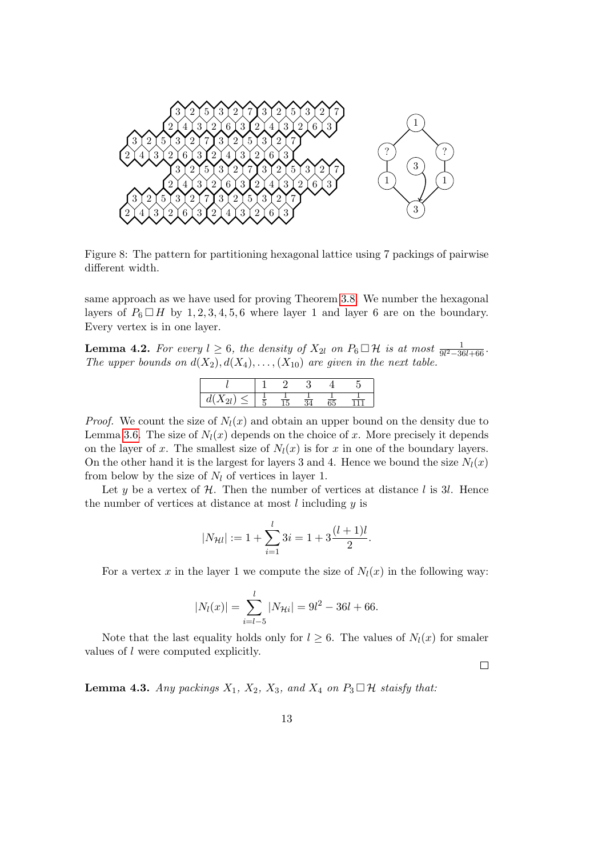

<span id="page-12-0"></span>Figure 8: The pattern for partitioning hexagonal lattice using 7 packings of pairwise different width.

same approach as we have used for proving Theorem [3.8.](#page-6-1) We number the hexagonal layers of  $P_6 \square H$  by 1, 2, 3, 4, 5, 6 where layer 1 and layer 6 are on the boundary. Every vertex is in one layer.

**Lemma 4.2.** For every  $l \geq 6$ , the density of  $X_{2l}$  on  $P_6 \square \mathcal{H}$  is at most  $\frac{1}{9l^2-36l+66}$ . The upper bounds on  $d(X_2), d(X_4), \ldots, (X_{10})$  are given in the next table.

| w<br>. . | - |  |  |
|----------|---|--|--|

*Proof.* We count the size of  $N_l(x)$  and obtain an upper bound on the density due to Lemma [3.6.](#page-5-1) The size of  $N_l(x)$  depends on the choice of x. More precisely it depends on the layer of x. The smallest size of  $N_l(x)$  is for x in one of the boundary layers. On the other hand it is the largest for layers 3 and 4. Hence we bound the size  $N_l(x)$ from below by the size of  $N_l$  of vertices in layer 1.

Let y be a vertex of  $H$ . Then the number of vertices at distance l is 3l. Hence the number of vertices at distance at most  $l$  including  $y$  is

$$
|N_{\mathcal{H}l}| := 1 + \sum_{i=1}^{l} 3i = 1 + 3\frac{(l+1)l}{2}.
$$

For a vertex x in the layer 1 we compute the size of  $N_l(x)$  in the following way:

$$
|N_l(x)| = \sum_{i=l-5}^{l} |N_{\mathcal{H}i}| = 9l^2 - 36l + 66.
$$

Note that the last equality holds only for  $l \geq 6$ . The values of  $N_l(x)$  for smaler values of l were computed explicitly.

 $\Box$ 

<span id="page-12-1"></span>**Lemma 4.3.** Any packings  $X_1$ ,  $X_2$ ,  $X_3$ , and  $X_4$  on  $P_3 \square \mathcal{H}$  staisfy that: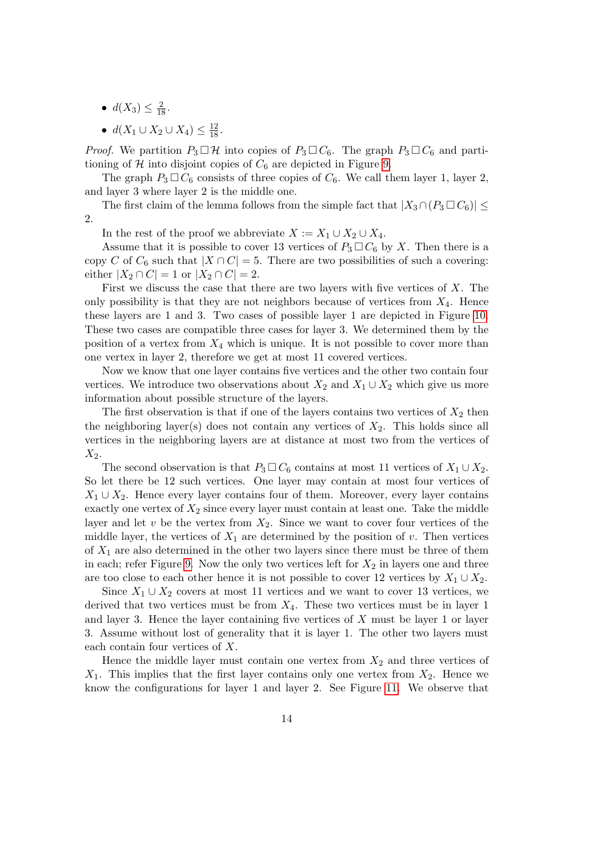- $d(X_3) \leq \frac{2}{18}$ .
- $d(X_1 \cup X_2 \cup X_4) \leq \frac{12}{18}$ .

*Proof.* We partition  $P_3 \square \mathcal{H}$  into copies of  $P_3 \square C_6$ . The graph  $P_3 \square C_6$  and partitioning of  $H$  into disjoint copies of  $C_6$  are depicted in Figure [9.](#page-14-0)

The graph  $P_3 \square C_6$  consists of three copies of  $C_6$ . We call them layer 1, layer 2, and layer 3 where layer 2 is the middle one.

The first claim of the lemma follows from the simple fact that  $|X_3 \cap (P_3 \square C_6)| \leq$ 2.

In the rest of the proof we abbreviate  $X := X_1 \cup X_2 \cup X_4$ .

Assume that it is possible to cover 13 vertices of  $P_3 \square C_6$  by X. Then there is a copy C of  $C_6$  such that  $|X \cap C| = 5$ . There are two possibilities of such a covering: either  $|X_2 \cap C| = 1$  or  $|X_2 \cap C| = 2$ .

First we discuss the case that there are two layers with five vertices of X. The only possibility is that they are not neighbors because of vertices from  $X_4$ . Hence these layers are 1 and 3. Two cases of possible layer 1 are depicted in Figure [10.](#page-15-0) These two cases are compatible three cases for layer 3. We determined them by the position of a vertex from  $X_4$  which is unique. It is not possible to cover more than one vertex in layer 2, therefore we get at most 11 covered vertices.

Now we know that one layer contains five vertices and the other two contain four vertices. We introduce two observations about  $X_2$  and  $X_1 \cup X_2$  which give us more information about possible structure of the layers.

The first observation is that if one of the layers contains two vertices of  $X_2$  then the neighboring layer(s) does not contain any vertices of  $X_2$ . This holds since all vertices in the neighboring layers are at distance at most two from the vertices of  $X_2$ .

The second observation is that  $P_3 \Box C_6$  contains at most 11 vertices of  $X_1 \cup X_2$ . So let there be 12 such vertices. One layer may contain at most four vertices of  $X_1 \cup X_2$ . Hence every layer contains four of them. Moreover, every layer contains exactly one vertex of  $X_2$  since every layer must contain at least one. Take the middle layer and let  $v$  be the vertex from  $X_2$ . Since we want to cover four vertices of the middle layer, the vertices of  $X_1$  are determined by the position of v. Then vertices of  $X_1$  are also determined in the other two layers since there must be three of them in each; refer Figure [9.](#page-14-0) Now the only two vertices left for  $X_2$  in layers one and three are too close to each other hence it is not possible to cover 12 vertices by  $X_1 \cup X_2$ .

Since  $X_1 \cup X_2$  covers at most 11 vertices and we want to cover 13 vertices, we derived that two vertices must be from  $X_4$ . These two vertices must be in layer 1 and layer 3. Hence the layer containing five vertices of  $X$  must be layer 1 or layer 3. Assume without lost of generality that it is layer 1. The other two layers must each contain four vertices of X.

Hence the middle layer must contain one vertex from  $X_2$  and three vertices of  $X_1$ . This implies that the first layer contains only one vertex from  $X_2$ . Hence we know the configurations for layer 1 and layer 2. See Figure [11.](#page-16-0) We observe that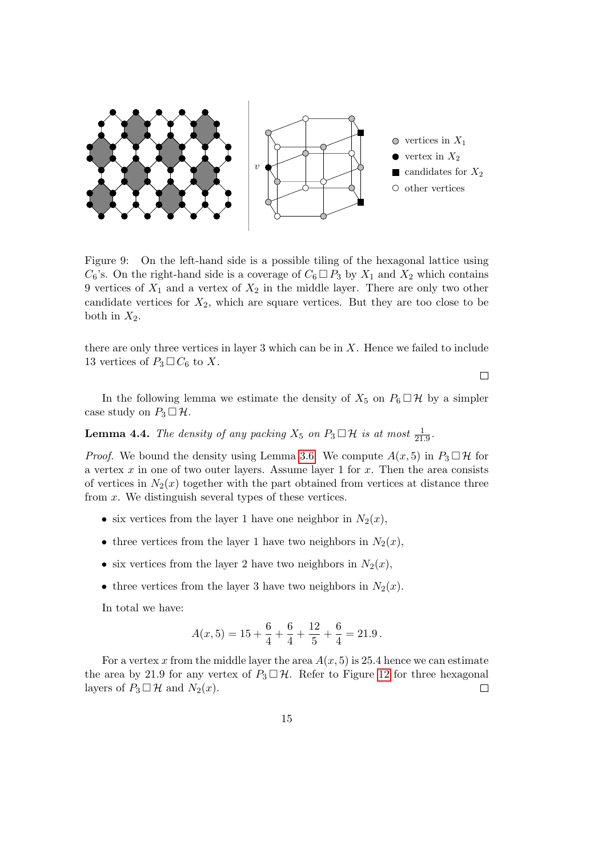

<span id="page-14-0"></span>Figure 9: On the left-hand side is a possible tiling of the hexagonal lattice using  $C_6$ 's. On the right-hand side is a coverage of  $C_6 \square P_3$  by  $X_1$  and  $X_2$  which contains 9 vertices of  $X_1$  and a vertex of  $X_2$  in the middle layer. There are only two other candidate vertices for  $X_2$ , which are square vertices. But they are too close to be both in  $X_2$ .

there are only three vertices in layer 3 which can be in X. Hence we failed to include 13 vertices of  $P_3 \square C_6$  to X.

In the following lemma we estimate the density of  $X_5$  on  $P_6 \square \mathcal{H}$  by a simpler case study on  $P_3 \square \mathcal{H}$ .

<span id="page-14-1"></span>**Lemma 4.4.** The density of any packing  $X_5$  on  $P_3 \square \mathcal{H}$  is at most  $\frac{1}{21.9}$ .

*Proof.* We bound the density using Lemma [3.6.](#page-5-1) We compute  $A(x, 5)$  in  $P_3 \square \mathcal{H}$  for a vertex  $x$  in one of two outer layers. Assume layer 1 for  $x$ . Then the area consists of vertices in  $N_2(x)$  together with the part obtained from vertices at distance three from  $x$ . We distinguish several types of these vertices.

- six vertices from the layer 1 have one neighbor in  $N_2(x)$ ,
- three vertices from the layer 1 have two neighbors in  $N_2(x)$ ,
- six vertices from the layer 2 have two neighbors in  $N_2(x)$ ,
- three vertices from the layer 3 have two neighbors in  $N_2(x)$ .

In total we have:

$$
A(x,5) = 15 + \frac{6}{4} + \frac{6}{4} + \frac{12}{5} + \frac{6}{4} = 21.9.
$$

For a vertex x from the middle layer the area  $A(x, 5)$  is 25.4 hence we can estimate the area by 21.9 for any vertex of  $P_3 \square \mathcal{H}$ . Refer to Figure [12](#page-16-1) for three hexagonal layers of  $P_3 \square \mathcal{H}$  and  $N_2(x)$ . layers of  $P_3 \square \mathcal{H}$  and  $N_2(x)$ .

 $\Box$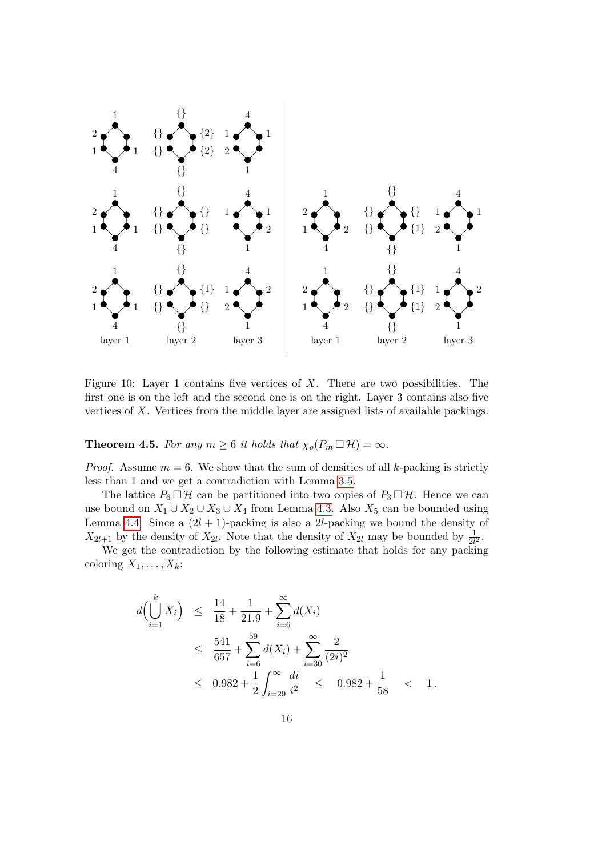

<span id="page-15-0"></span>Figure 10: Layer 1 contains five vertices of  $X$ . There are two possibilities. The first one is on the left and the second one is on the right. Layer 3 contains also five vertices of X. Vertices from the middle layer are assigned lists of available packings.

**Theorem 4.5.** For any  $m \geq 6$  it holds that  $\chi_{\rho}(P_m \Box \mathcal{H}) = \infty$ .

*Proof.* Assume  $m = 6$ . We show that the sum of densities of all k-packing is strictly less than 1 and we get a contradiction with Lemma [3.5.](#page-5-0)

The lattice  $P_6 \Box \mathcal{H}$  can be partitioned into two copies of  $P_3 \Box \mathcal{H}$ . Hence we can use bound on  $X_1 \cup X_2 \cup X_3 \cup X_4$  from Lemma [4.3.](#page-12-1) Also  $X_5$  can be bounded using Lemma [4.4.](#page-14-1) Since a  $(2l + 1)$ -packing is also a 2l-packing we bound the density of  $X_{2l+1}$  by the density of  $X_{2l}$ . Note that the density of  $X_{2l}$  may be bounded by  $\frac{1}{2l^2}$ .

We get the contradiction by the following estimate that holds for any packing coloring  $X_1, \ldots, X_k$ :

$$
d\left(\bigcup_{i=1}^{k} X_i\right) \leq \frac{14}{18} + \frac{1}{21.9} + \sum_{i=6}^{\infty} d(X_i)
$$
  
\n
$$
\leq \frac{541}{657} + \sum_{i=6}^{59} d(X_i) + \sum_{i=30}^{\infty} \frac{2}{(2i)^2}
$$
  
\n
$$
\leq 0.982 + \frac{1}{2} \int_{i=29}^{\infty} \frac{di}{i^2} \leq 0.982 + \frac{1}{58} < 1.
$$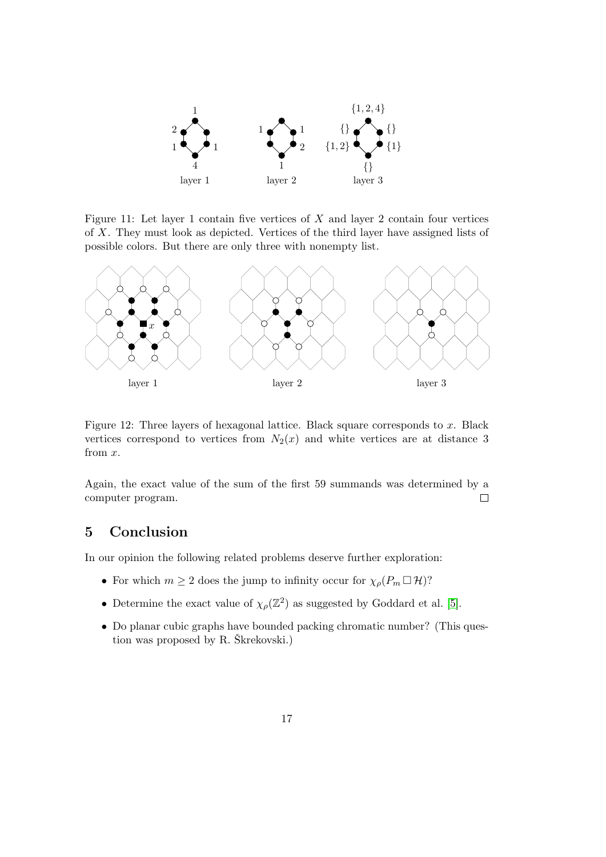

<span id="page-16-0"></span>Figure 11: Let layer 1 contain five vertices of  $X$  and layer 2 contain four vertices of X. They must look as depicted. Vertices of the third layer have assigned lists of possible colors. But there are only three with nonempty list.



<span id="page-16-1"></span>Figure 12: Three layers of hexagonal lattice. Black square corresponds to x. Black vertices correspond to vertices from  $N_2(x)$  and white vertices are at distance 3 from x.

Again, the exact value of the sum of the first 59 summands was determined by a computer program.  $\Box$ 

# 5 Conclusion

In our opinion the following related problems deserve further exploration:

- For which  $m \geq 2$  does the jump to infinity occur for  $\chi_{\rho}(P_m \Box \mathcal{H})$ ?
- Determine the exact value of  $\chi_{\rho}(\mathbb{Z}^2)$  as suggested by Goddard et al. [\[5\]](#page-17-1).
- Do planar cubic graphs have bounded packing chromatic number? (This question was proposed by  $R$ . Škrekovski.)